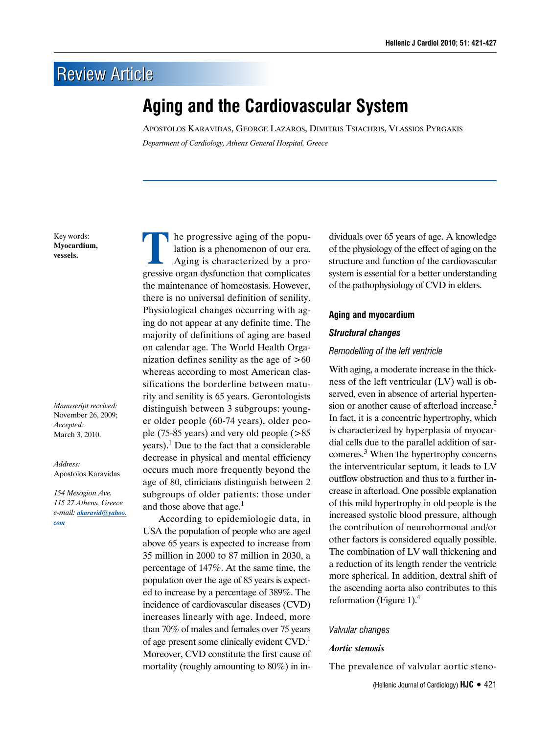# **Review Article**

# **Aging and the Cardiovascular System**

Apostolos Karavidas, George Lazaros, Dimitris Tsiachris, Vlassios Pyrgakis *Department of Cardiology, Athens General Hospital, Greece*

Key words: **Myocardium, vessels.**

*Manuscript received:* November 26, 2009; *Accepted:* March 3, 2010.

*Address:* Apostolos Karavidas

*154 Mesogion Ave. 115 27 Athens, Greece e-mail: akaravid@yahoo. com*

The progressive aging of the popu-<br>
lation is a phenomenon of our era.<br>
Aging is characterized by a prolation is a phenomenon of our era. gressive organ dysfunction that complicates the maintenance of homeostasis. However, there is no universal definition of senility. Physiological changes occurring with aging do not appear at any definite time. The majority of definitions of aging are based on calendar age. The World Health Organization defines senility as the age of  $>60$ whereas according to most American classifications the borderline between maturity and senility is 65 years. Gerontologists distinguish between 3 subgroups: younger older people (60-74 years), older people (75-85 years) and very old people (>85 years).<sup>1</sup> Due to the fact that a considerable decrease in physical and mental efficiency occurs much more frequently beyond the age of 80, clinicians distinguish between 2 subgroups of older patients: those under and those above that age. $<sup>1</sup>$ </sup>

According to epidemiologic data, in USA the population of people who are aged above 65 years is expected to increase from 35 million in 2000 to 87 million in 2030, a percentage of 147%. At the same time, the population over the age of 85 years is expected to increase by a percentage of 389%. The incidence of cardiovascular diseases (CVD) increases linearly with age. Indeed, more than 70% of males and females over 75 years of age present some clinically evident  $CVD<sup>1</sup>$ Moreover, CVD constitute the first cause of mortality (roughly amounting to 80%) in individuals over 65 years of age. A knowledge of the physiology of the effect of aging on the structure and function of the cardiovascular system is essential for a better understanding of the pathophysiology of CVD in elders.

#### **Aging and myocardium**

## *Structural changes*

#### *Remodelling of the left ventricle*

With aging, a moderate increase in the thickness of the left ventricular (LV) wall is observed, even in absence of arterial hypertension or another cause of afterload increase.<sup>2</sup> In fact, it is a concentric hypertrophy, which is characterized by hyperplasia of myocardial cells due to the parallel addition of sarcomeres.<sup>3</sup> When the hypertrophy concerns the interventricular septum, it leads to LV outflow obstruction and thus to a further increase in afterload. One possible explanation of this mild hypertrophy in old people is the increased systolic blood pressure, although the contribution of neurohormonal and/or other factors is considered equally possible. The combination of LV wall thickening and a reduction of its length render the ventricle more spherical. In addition, dextral shift of the ascending aorta also contributes to this reformation (Figure 1).<sup>4</sup>

#### *Valvular changes*

#### *Aortic stenosis*

The prevalence of valvular aortic steno-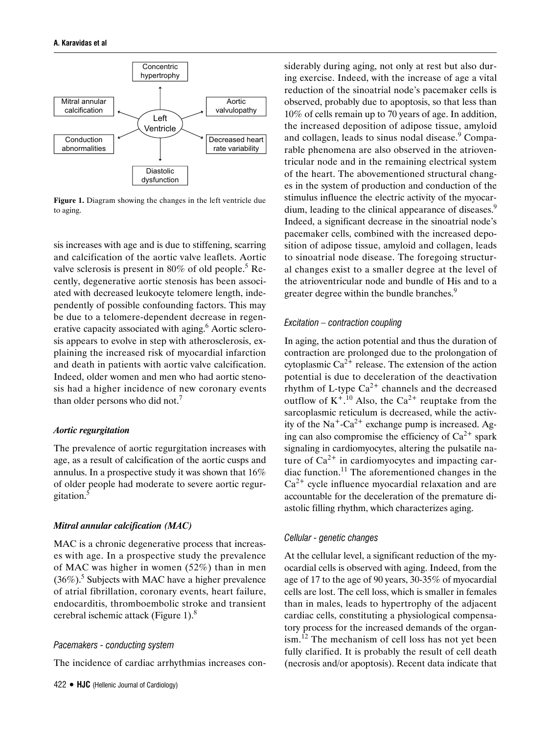

**Figure 1.** Diagram showing the changes in the left ventricle due to aging.

sis increases with age and is due to stiffening, scarring and calcification of the aortic valve leaflets. Aortic valve sclerosis is present in 80% of old people.<sup>5</sup> Recently, degenerative aortic stenosis has been associated with decreased leukocyte telomere length, independently of possible confounding factors. This may be due to a telomere-dependent decrease in regenerative capacity associated with aging.<sup>6</sup> Aortic sclerosis appears to evolve in step with atherosclerosis, explaining the increased risk of myocardial infarction and death in patients with aortic valve calcification. Indeed, older women and men who had aortic stenosis had a higher incidence of new coronary events than older persons who did not.<sup>7</sup>

#### *Aortic regurgitation*

The prevalence of aortic regurgitation increases with age, as a result of calcification of the aortic cusps and annulus. In a prospective study it was shown that 16% of older people had moderate to severe aortic regurgitation.5

#### *Mitral annular calcification (MAC)*

MAC is a chronic degenerative process that increases with age. In a prospective study the prevalence of MAC was higher in women (52%) than in men  $(36\%)$ .<sup>5</sup> Subjects with MAC have a higher prevalence of atrial fibrillation, coronary events, heart failure, endocarditis, thromboembolic stroke and transient cerebral ischemic attack (Figure 1). $8$ 

## *Pacemakers - conducting system*

The incidence of cardiac arrhythmias increases con-

siderably during aging, not only at rest but also during exercise. Indeed, with the increase of age a vital reduction of the sinoatrial node's pacemaker cells is observed, probably due to apoptosis, so that less than 10% of cells remain up to 70 years of age. In addition, the increased deposition of adipose tissue, amyloid and collagen, leads to sinus nodal disease.<sup>9</sup> Comparable phenomena are also observed in the atrioventricular node and in the remaining electrical system of the heart. The abovementioned structural changes in the system of production and conduction of the stimulus influence the electric activity of the myocardium, leading to the clinical appearance of diseases.<sup>9</sup> Indeed, a significant decrease in the sinoatrial node's pacemaker cells, combined with the increased deposition of adipose tissue, amyloid and collagen, leads to sinoatrial node disease. The foregoing structural changes exist to a smaller degree at the level of the atrioventricular node and bundle of His and to a greater degree within the bundle branches.<sup>9</sup>

## *Excitation – contraction coupling*

In aging, the action potential and thus the duration of contraction are prolonged due to the prolongation of cytoplasmic  $Ca^{2+}$  release. The extension of the action potential is due to deceleration of the deactivation rhythm of L-type  $Ca^{2+}$  channels and the decreased outflow of  $K^{+,10}$  Also, the Ca<sup>2+</sup> reuptake from the sarcoplasmic reticulum is decreased, while the activity of the  $Na^+$ -Ca<sup>2+</sup> exchange pump is increased. Aging can also compromise the efficiency of  $Ca^{2+}$  spark signaling in cardiomyocytes, altering the pulsatile nature of  $Ca^{2+}$  in cardiomyocytes and impacting cardiac function.<sup>11</sup> The aforementioned changes in the  $Ca<sup>2+</sup>$  cycle influence myocardial relaxation and are accountable for the deceleration of the premature diastolic filling rhythm, which characterizes aging.

## *Cellular - genetic changes*

At the cellular level, a significant reduction of the myocardial cells is observed with aging. Indeed, from the age of 17 to the age of 90 years, 30-35% of myocardial cells are lost. The cell loss, which is smaller in females than in males, leads to hypertrophy of the adjacent cardiac cells, constituting a physiological compensatory process for the increased demands of the organism.<sup>12</sup> The mechanism of cell loss has not yet been fully clarified. It is probably the result of cell death (necrosis and/or apoptosis). Recent data indicate that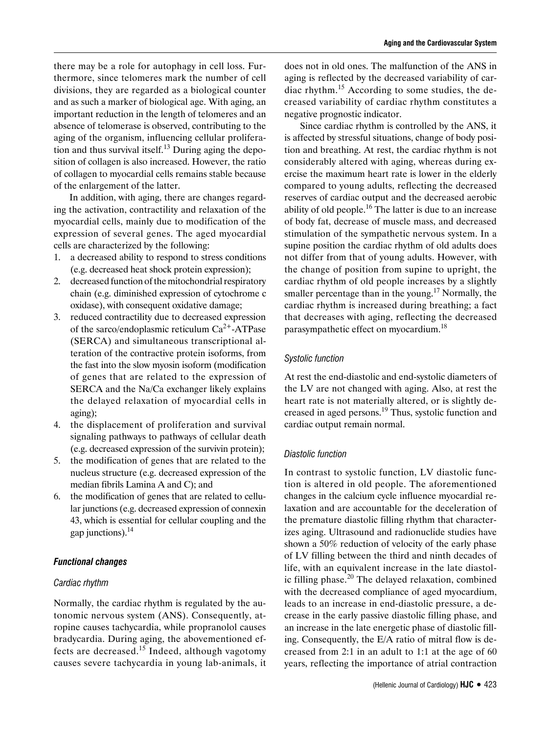there may be a role for autophagy in cell loss. Furthermore, since telomeres mark the number of cell divisions, they are regarded as a biological counter and as such a marker of biological age. With aging, an important reduction in the length of telomeres and an absence of telomerase is observed, contributing to the aging of the organism, influencing cellular proliferation and thus survival itself.<sup>13</sup> During aging the deposition of collagen is also increased. However, the ratio of collagen to myocardial cells remains stable because of the enlargement of the latter.

In addition, with aging, there are changes regarding the activation, contractility and relaxation of the myocardial cells, mainly due to modification of the expression of several genes. The aged myocardial cells are characterized by the following:

- 1. a decreased ability to respond to stress conditions (e.g. decreased heat shock protein expression);
- 2. decreased function of the mitochondrial respiratory chain (e.g. diminished expression of cytochrome c oxidase), with consequent oxidative damage;
- 3. reduced contractility due to decreased expression of the sarco/endoplasmic reticulum  $Ca^{2+}$ -ATPase (SERCA) and simultaneous transcriptional alteration of the contractive protein isoforms, from the fast into the slow myosin isoform (modification of genes that are related to the expression of SERCA and the Na/Ca exchanger likely explains the delayed relaxation of myocardial cells in aging);
- 4. the displacement of proliferation and survival signaling pathways to pathways of cellular death (e.g. decreased expression of the survivin protein);
- 5. the modification of genes that are related to the nucleus structure (e.g. decreased expression of the median fibrils Lamina A and C); and
- 6. the modification of genes that are related to cellular junctions (e.g. decreased expression of connexin 43, which is essential for cellular coupling and the gap junctions). $^{14}$

## *Functional changes*

#### *Cardiac rhythm*

Normally, the cardiac rhythm is regulated by the autonomic nervous system (ANS). Consequently, atropine causes tachycardia, while propranolol causes bradycardia. During aging, the abovementioned effects are decreased.15 Indeed, although vagotomy causes severe tachycardia in young lab-animals, it does not in old ones. The malfunction of the ANS in aging is reflected by the decreased variability of cardiac rhythm.<sup>15</sup> According to some studies, the decreased variability of cardiac rhythm constitutes a negative prognostic indicator.

Since cardiac rhythm is controlled by the ANS, it is affected by stressful situations, change of body position and breathing. At rest, the cardiac rhythm is not considerably altered with aging, whereas during exercise the maximum heart rate is lower in the elderly compared to young adults, reflecting the decreased reserves of cardiac output and the decreased aerobic ability of old people.<sup>16</sup> The latter is due to an increase of body fat, decrease of muscle mass, and decreased stimulation of the sympathetic nervous system. In a supine position the cardiac rhythm of old adults does not differ from that of young adults. However, with the change of position from supine to upright, the cardiac rhythm of old people increases by a slightly smaller percentage than in the young.<sup>17</sup> Normally, the cardiac rhythm is increased during breathing; a fact that decreases with aging, reflecting the decreased parasympathetic effect on myocardium.18

## *Systolic function*

At rest the end-diastolic and end-systolic diameters of the LV are not changed with aging. Also, at rest the heart rate is not materially altered, or is slightly decreased in aged persons.19 Thus, systolic function and cardiac output remain normal.

#### *Diastolic function*

In contrast to systolic function, LV diastolic function is altered in old people. The aforementioned changes in the calcium cycle influence myocardial relaxation and are accountable for the deceleration of the premature diastolic filling rhythm that characterizes aging. Ultrasound and radionuclide studies have shown a 50% reduction of velocity of the early phase of LV filling between the third and ninth decades of life, with an equivalent increase in the late diastolic filling phase.<sup>20</sup> The delayed relaxation, combined with the decreased compliance of aged myocardium, leads to an increase in end-diastolic pressure, a decrease in the early passive diastolic filling phase, and an increase in the late energetic phase of diastolic filling. Consequently, the E/A ratio of mitral flow is decreased from 2:1 in an adult to 1:1 at the age of 60 years, reflecting the importance of atrial contraction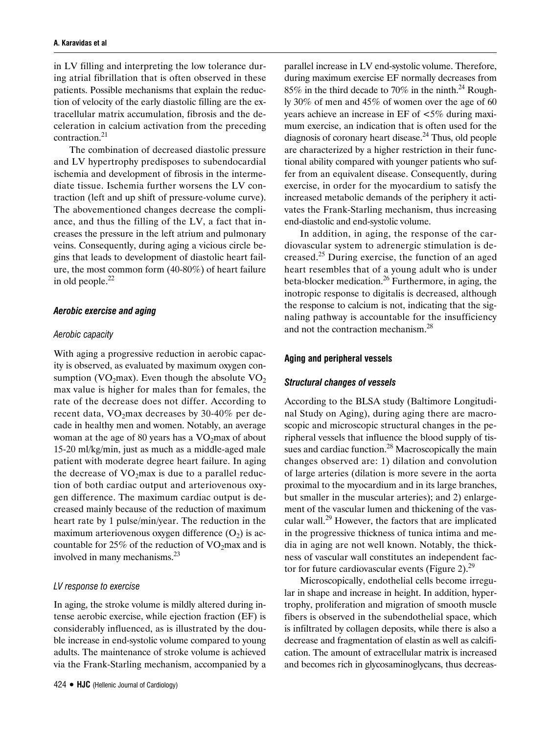in LV filling and interpreting the low tolerance during atrial fibrillation that is often observed in these patients. Possible mechanisms that explain the reduction of velocity of the early diastolic filling are the extracellular matrix accumulation, fibrosis and the deceleration in calcium activation from the preceding contraction.21

The combination of decreased diastolic pressure and LV hypertrophy predisposes to subendocardial ischemia and development of fibrosis in the intermediate tissue. Ischemia further worsens the LV contraction (left and up shift of pressure-volume curve). The abovementioned changes decrease the compliance, and thus the filling of the LV, a fact that increases the pressure in the left atrium and pulmonary veins. Consequently, during aging a vicious circle begins that leads to development of diastolic heart failure, the most common form (40-80%) of heart failure in old people. $^{22}$ 

#### *Aerobic exercise and aging*

#### *Aerobic capacity*

With aging a progressive reduction in aerobic capacity is observed, as evaluated by maximum oxygen consumption (VO<sub>2</sub>max). Even though the absolute  $VO<sub>2</sub>$ max value is higher for males than for females, the rate of the decrease does not differ. According to recent data,  $VO<sub>2</sub>max$  decreases by 30-40% per decade in healthy men and women. Notably, an average woman at the age of 80 years has a  $VO<sub>2</sub>$ max of about 15-20 ml/kg/min, just as much as a middle-aged male patient with moderate degree heart failure. In aging the decrease of  $VO<sub>2</sub>max$  is due to a parallel reduction of both cardiac output and arteriovenous oxygen difference. The maximum cardiac output is decreased mainly because of the reduction of maximum heart rate by 1 pulse/min/year. The reduction in the maximum arteriovenous oxygen difference  $(O_2)$  is accountable for 25% of the reduction of  $VO<sub>2</sub>max$  and is involved in many mechanisms.23

#### *LV response to exercise*

In aging, the stroke volume is mildly altered during intense aerobic exercise, while ejection fraction (EF) is considerably influenced, as is illustrated by the double increase in end-systolic volume compared to young adults. The maintenance of stroke volume is achieved via the Frank-Starling mechanism, accompanied by a parallel increase in LV end-systolic volume. Therefore, during maximum exercise EF normally decreases from 85% in the third decade to 70% in the ninth.<sup>24</sup> Roughly 30% of men and 45% of women over the age of 60 years achieve an increase in EF of <5% during maximum exercise, an indication that is often used for the diagnosis of coronary heart disease. $^{24}$  Thus, old people are characterized by a higher restriction in their functional ability compared with younger patients who suffer from an equivalent disease. Consequently, during exercise, in order for the myocardium to satisfy the increased metabolic demands of the periphery it activates the Frank-Starling mechanism, thus increasing end-diastolic and end-systolic volume.

In addition, in aging, the response of the cardiovascular system to adrenergic stimulation is decreased.25 During exercise, the function of an aged heart resembles that of a young adult who is under beta-blocker medication.<sup>26</sup> Furthermore, in aging, the inotropic response to digitalis is decreased, although the response to calcium is not, indicating that the signaling pathway is accountable for the insufficiency and not the contraction mechanism.<sup>28</sup>

#### **Aging and peripheral vessels**

#### *Structural changes of vessels*

According to the BLSA study (Baltimore Longitudinal Study on Aging), during aging there are macroscopic and microscopic structural changes in the peripheral vessels that influence the blood supply of tissues and cardiac function.<sup>28</sup> Macroscopically the main changes observed are: 1) dilation and convolution of large arteries (dilation is more severe in the aorta proximal to the myocardium and in its large branches, but smaller in the muscular arteries); and 2) enlargement of the vascular lumen and thickening of the vascular wall.29 However, the factors that are implicated in the progressive thickness of tunica intima and media in aging are not well known. Notably, the thickness of vascular wall constitutes an independent factor for future cardiovascular events (Figure 2). $^{29}$ 

Microscopically, endothelial cells become irregular in shape and increase in height. In addition, hypertrophy, proliferation and migration of smooth muscle fibers is observed in the subendothelial space, which is infiltrated by collagen deposits, while there is also a decrease and fragmentation of elastin as well as calcification. The amount of extracellular matrix is increased and becomes rich in glycosaminoglycans, thus decreas-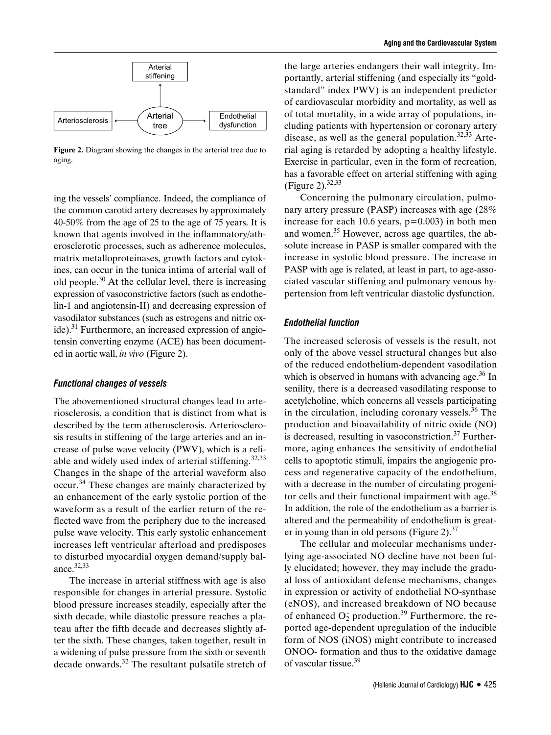

**Figure 2.** Diagram showing the changes in the arterial tree due to aging.

ing the vessels' compliance. Indeed, the compliance of the common carotid artery decreases by approximately 40-50% from the age of 25 to the age of 75 years. It is known that agents involved in the inflammatory/atherosclerotic processes, such as adherence molecules, matrix metalloproteinases, growth factors and cytokines, can occur in the tunica intima of arterial wall of old people. $30$  At the cellular level, there is increasing expression of vasoconstrictive factors (such as endothelin-1 and angiotensin-II) and decreasing expression of vasodilator substances (such as estrogens and nitric oxide). $31$  Furthermore, an increased expression of angiotensin converting enzyme (ACE) has been documented in aortic wall, *in vivo* (Figure 2).

#### *Functional changes of vessels*

The abovementioned structural changes lead to arteriosclerosis, a condition that is distinct from what is described by the term atherosclerosis. Arteriosclerosis results in stiffening of the large arteries and an increase of pulse wave velocity (PWV), which is a reliable and widely used index of arterial stiffening.<sup>32,33</sup> Changes in the shape of the arterial waveform also occur.<sup>34</sup> These changes are mainly characterized by an enhancement of the early systolic portion of the waveform as a result of the earlier return of the reflected wave from the periphery due to the increased pulse wave velocity. This early systolic enhancement increases left ventricular afterload and predisposes to disturbed myocardial oxygen demand/supply balance.32,33

The increase in arterial stiffness with age is also responsible for changes in arterial pressure. Systolic blood pressure increases steadily, especially after the sixth decade, while diastolic pressure reaches a plateau after the fifth decade and decreases slightly after the sixth. These changes, taken together, result in a widening of pulse pressure from the sixth or seventh decade onwards.32 The resultant pulsatile stretch of

the large arteries endangers their wall integrity. Importantly, arterial stiffening (and especially its "goldstandard" index PWV) is an independent predictor of cardiovascular morbidity and mortality, as well as of total mortality, in a wide array of populations, including patients with hypertension or coronary artery disease, as well as the general population. $32,33$  Arterial aging is retarded by adopting a healthy lifestyle. Exercise in particular, even in the form of recreation, has a favorable effect on arterial stiffening with aging (Figure 2).  $32,33$ 

Concerning the pulmonary circulation, pulmonary artery pressure (PASP) increases with age (28% increase for each 10.6 years,  $p=0.003$ ) in both men and women.<sup>35</sup> However, across age quartiles, the absolute increase in PASP is smaller compared with the increase in systolic blood pressure. The increase in PASP with age is related, at least in part, to age-associated vascular stiffening and pulmonary venous hypertension from left ventricular diastolic dysfunction.

#### *Endothelial function*

The increased sclerosis of vessels is the result, not only of the above vessel structural changes but also of the reduced endothelium-dependent vasodilation which is observed in humans with advancing age.<sup>36</sup> In senility, there is a decreased vasodilating response to acetylcholine, which concerns all vessels participating in the circulation, including coronary vessels.<sup>36</sup> The production and bioavailability of nitric oxide (NO) is decreased, resulting in vasoconstriction.<sup>37</sup> Furthermore, aging enhances the sensitivity of endothelial cells to apoptotic stimuli, impairs the angiogenic process and regenerative capacity of the endothelium, with a decrease in the number of circulating progenitor cells and their functional impairment with age. $38$ In addition, the role of the endothelium as a barrier is altered and the permeability of endothelium is greater in young than in old persons (Figure 2). $37$ 

The cellular and molecular mechanisms underlying age-associated NO decline have not been fully elucidated; however, they may include the gradual loss of antioxidant defense mechanisms, changes in expression or activity of endothelial NO-synthase (eNOS), and increased breakdown of NO because of enhanced  $O_2$  production.<sup>39</sup> Furthermore, the reported age-dependent upregulation of the inducible form of NOS (iNOS) might contribute to increased ONOO*−* formation and thus to the oxidative damage of vascular tissue.<sup>39</sup>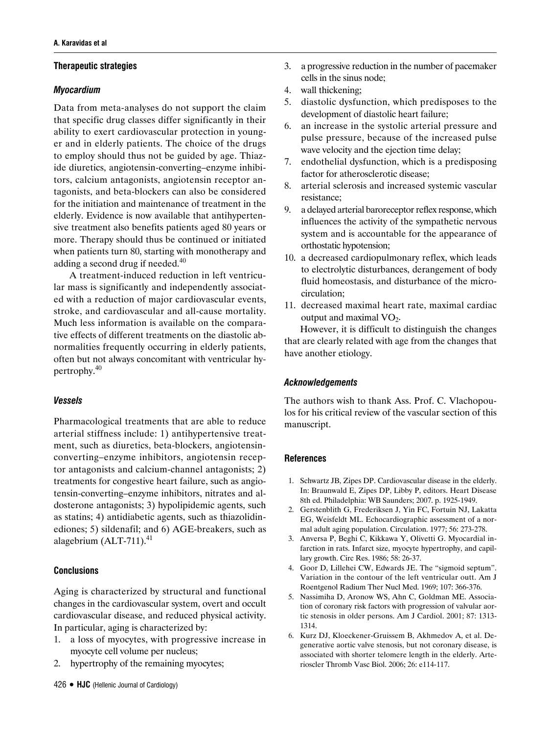# **Therapeutic strategies**

# *Myocardium*

Data from meta-analyses do not support the claim that specific drug classes differ significantly in their ability to exert cardiovascular protection in younger and in elderly patients. The choice of the drugs to employ should thus not be guided by age. Thiazide diuretics, angiotensin-converting–enzyme inhibitors, calcium antagonists, angiotensin receptor antagonists, and beta-blockers can also be considered for the initiation and maintenance of treatment in the elderly. Evidence is now available that antihypertensive treatment also benefits patients aged 80 years or more. Therapy should thus be continued or initiated when patients turn 80, starting with monotherapy and adding a second drug if needed. $40$ 

A treatment-induced reduction in left ventricular mass is significantly and independently associated with a reduction of major cardiovascular events, stroke, and cardiovascular and all-cause mortality. Much less information is available on the comparative effects of different treatments on the diastolic abnormalities frequently occurring in elderly patients, often but not always concomitant with ventricular hypertrophy.<sup>40</sup>

# *Vessels*

Pharmacological treatments that are able to reduce arterial stiffness include: 1) antihypertensive treatment, such as diuretics, beta-blockers, angiotensinconverting–enzyme inhibitors, angiotensin receptor antagonists and calcium-channel antagonists; 2) treatments for congestive heart failure, such as angiotensin-converting–enzyme inhibitors, nitrates and aldosterone antagonists; 3) hypolipidemic agents, such as statins; 4) antidiabetic agents, such as thiazolidinediones; 5) sildenafil; and 6) AGE-breakers, such as alagebrium  $(ALT-711).<sup>41</sup>$ 

# **Conclusions**

Aging is characterized by structural and functional changes in the cardiovascular system, overt and occult cardiovascular disease, and reduced physical activity. In particular, aging is characterized by:

- 1. a loss of myocytes, with progressive increase in myocyte cell volume per nucleus;
- 2. hypertrophy of the remaining myocytes;
- 3. a progressive reduction in the number of pacemaker cells in the sinus node;
- 4. wall thickening;
- 5. diastolic dysfunction, which predisposes to the development of diastolic heart failure;
- 6. an increase in the systolic arterial pressure and pulse pressure, because of the increased pulse wave velocity and the ejection time delay;
- 7. endothelial dysfunction, which is a predisposing factor for atherosclerotic disease;
- 8. arterial sclerosis and increased systemic vascular resistance;
- 9. a delayed arterial baroreceptor reflex response, which influences the activity of the sympathetic nervous system and is accountable for the appearance of orthostatic hypotension;
- 10. a decreased cardiopulmonary reflex, which leads to electrolytic disturbances, derangement of body fluid homeostasis, and disturbance of the microcirculation;
- 11. decreased maximal heart rate, maximal cardiac output and maximal  $VO<sub>2</sub>$ .

However, it is difficult to distinguish the changes that are clearly related with age from the changes that have another etiology.

# *Acknowledgements*

The authors wish to thank Ass. Prof. C. Vlachopoulos for his critical review of the vascular section of this manuscript.

# **References**

- 1. Schwartz JB, Zipes DP. Cardiovascular disease in the elderly. In: Braunwald E, Zipes DP, Libby P, editors. Heart Disease 8th ed. Philadelphia: WB Saunders; 2007. p. 1925-1949.
- 2. Gerstenblith G, Frederiksen J, Yin FC, Fortuin NJ, Lakatta EG, Weisfeldt ML. Echocardiographic assessment of a normal adult aging population. Circulation. 1977; 56: 273-278.
- 3. Anversa P, Beghi C, Kikkawa Y, Olivetti G. Myocardial infarction in rats. Infarct size, myocyte hypertrophy, and capillary growth. Circ Res. 1986; 58: 26-37.
- 4. Goor D, Lillehei CW, Edwards JE. The "sigmoid septum". Variation in the contour of the left ventricular outt. Am J Roentgenol Radium Ther Nucl Med. 1969; 107: 366-376.
- 5. Nassimiha D, Aronow WS, Ahn C, Goldman ME. Association of coronary risk factors with progression of valvular aortic stenosis in older persons. Am J Cardiol. 2001; 87: 1313- 1314.
- 6. Kurz DJ, Kloeckener-Gruissem B, Akhmedov A, et al. Degenerative aortic valve stenosis, but not coronary disease, is associated with shorter telomere length in the elderly. Arterioscler Thromb Vasc Biol. 2006; 26: e114-117.